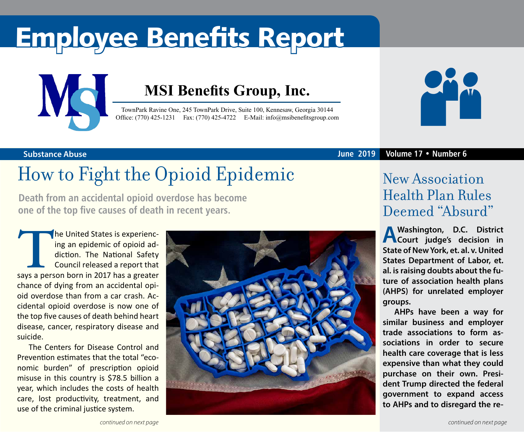# Employee Benefits Report



### **MSI Benefits Group, Inc.**

TownPark Ravine One, 245 TownPark Drive, Suite 100, Kennesaw, Georgia 30144 Office: (770) 425-1231 Fax: (770) 425-4722 E-Mail: [info@msibenefitsgroup.com](mailto:info@msibenefitsgroup.com)



**Substance Abuse June 2019 Volume 17 • Number 6**

## How to Fight the Opioid Epidemic

**Death from an accidental opioid overdose has become one of the top five causes of death in recent years.** 

The United States is experiencing an epidemic of opioid addiction. The National Safety<br>
Council released a report that<br>
says a person born in 2017 has a greater ing an epidemic of opioid addiction. The National Safety Council released a report that chance of dying from an accidental opioid overdose than from a car crash. Accidental opioid overdose is now one of the top five causes of death behind heart disease, cancer, respiratory disease and suicide.

The Centers for Disease Control and Prevention estimates that the total "economic burden" of prescription opioid misuse in this country is \$78.5 billion a year, which includes the costs of health care, lost productivity, treatment, and use of the criminal justice system.



### New Association Health Plan Rules Deemed "Absurd"

**A Washington, D.C. District Court judge's decision in State of New York, et. al. v. United States Department of Labor, et. al. is raising doubts about the future of association health plans (AHPS) for unrelated employer groups.**

**AHPs have been a way for similar business and employer trade associations to form associations in order to secure health care coverage that is less expensive than what they could purchase on their own. President Trump directed the federal government to expand access to AHPs and to disregard the re-**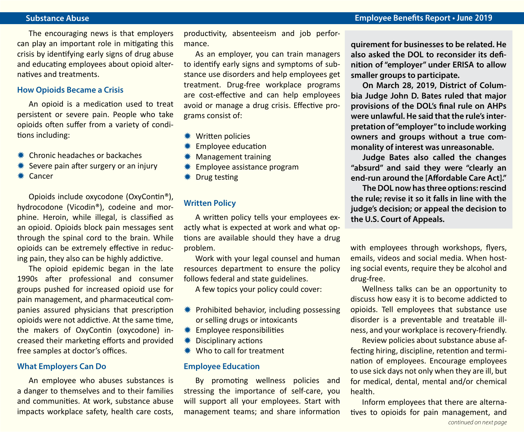#### **Substance Abuse Employee Benefits Report • June 2019**

The encouraging news is that employers can play an important role in mitigating this crisis by identifying early signs of drug abuse and educating employees about opioid alternatives and treatments.

#### **How Opioids Became a Crisis**

An opioid is a medication used to treat persistent or severe pain. People who take opioids often suffer from a variety of conditions including:

- $*$  Chronic headaches or backaches
- $*$  Severe pain after surgery or an injury
- \* Cancer

Opioids include oxycodone (OxyContin®), hydrocodone (Vicodin®), codeine and morphine. Heroin, while illegal, is classified as an opioid. Opioids block pain messages sent through the spinal cord to the brain. While opioids can be extremely effective in reducing pain, they also can be highly addictive.

The opioid epidemic began in the late 1990s after professional and consumer groups pushed for increased opioid use for pain management, and pharmaceutical companies assured physicians that prescription opioids were not addictive. At the same time, the makers of OxyContin (oxycodone) increased their marketing efforts and provided free samples at doctor's offices.

#### **What Employers Can Do**

An employee who abuses substances is a danger to themselves and to their families and communities. At work, substance abuse impacts workplace safety, health care costs,

productivity, absenteeism and job performance.

As an employer, you can train managers to identify early signs and symptoms of substance use disorders and help employees get treatment. Drug-free workplace programs are cost-effective and can help employees avoid or manage a drug crisis. Effective programs consist of:

- **\*\*** Written policies
- **Employee education**
- **\* Management training**
- **\* Employee assistance program**
- $*$  Drug testing

#### **Written Policy**

A written policy tells your employees exactly what is expected at work and what options are available should they have a drug problem.

Work with your legal counsel and human resources department to ensure the policy follows federal and state guidelines.

A few topics your policy could cover:

- $*$  Prohibited behavior, including possessing or selling drugs or intoxicants
- $*$  Employee responsibilities
- $*$  Disciplinary actions
- $*$  Who to call for treatment

#### **Employee Education**

By promoting wellness policies and stressing the importance of self-care, you will support all your employees. Start with management teams; and share information **quirement for businesses to be related. He also asked the DOL to reconsider its definition of "employer" under ERISA to allow smaller groups to participate.**

**On March 28, 2019, District of Columbia Judge John D. Bates ruled that major provisions of the DOL's final rule on AHPs were unlawful. He said that the rule's interpretation of "employer" to include working owners and groups without a true commonality of interest was unreasonable.**

**Judge Bates also called the changes "absurd" and said they were "clearly an end-run around the [Affordable Care Act]."** 

**The DOL now has three options: rescind the rule; revise it so it falls in line with the judge's decision; or appeal the decision to the U.S. Court of Appeals.**

with employees through workshops, flyers, emails, videos and social media. When hosting social events, require they be alcohol and drug-free.

Wellness talks can be an opportunity to discuss how easy it is to become addicted to opioids. Tell employees that substance use disorder is a preventable and treatable illness, and your workplace is recovery-friendly.

Review policies about substance abuse affecting hiring, discipline, retention and termination of employees. Encourage employees to use sick days not only when they are ill, but for medical, dental, mental and/or chemical health.

Inform employees that there are alternatives to opioids for pain management, and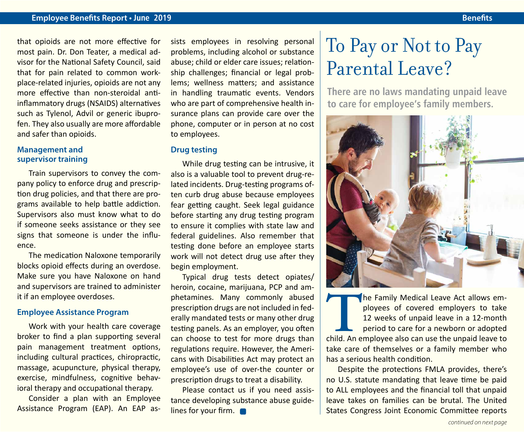#### **Employee Benefits Report • June 2019 Benefits**

that opioids are not more effective for most pain. Dr. Don Teater, a medical advisor for the National Safety Council, said that for pain related to common workplace-related injuries, opioids are not any more effective than non-steroidal antiinflammatory drugs (NSAIDS) alternatives such as Tylenol, Advil or generic ibuprofen. They also usually are more affordable and safer than opioids.

#### **Management and supervisor training**

Train supervisors to convey the company policy to enforce drug and prescription drug policies, and that there are programs available to help battle addiction. Supervisors also must know what to do if someone seeks assistance or they see signs that someone is under the influence.

The medication Naloxone temporarily blocks opioid effects during an overdose. Make sure you have Naloxone on hand and supervisors are trained to administer it if an employee overdoses.

#### **Employee Assistance Program**

Work with your health care coverage broker to find a plan supporting several pain management treatment options, including cultural practices, chiropractic, massage, acupuncture, physical therapy, exercise, mindfulness, cognitive behavioral therapy and occupational therapy.

Consider a plan with an Employee Assistance Program (EAP). An EAP assists employees in resolving personal problems, including alcohol or substance abuse; child or elder care issues; relationship challenges; financial or legal problems; wellness matters; and assistance in handling traumatic events. Vendors who are part of comprehensive health insurance plans can provide care over the phone, computer or in person at no cost to employees.

#### **Drug testing**

While drug testing can be intrusive, it also is a valuable tool to prevent drug-related incidents. Drug-testing programs often curb drug abuse because employees fear getting caught. Seek legal guidance before starting any drug testing program to ensure it complies with state law and federal guidelines. Also remember that testing done before an employee starts work will not detect drug use after they begin employment.

Typical drug tests detect opiates/ heroin, cocaine, marijuana, PCP and amphetamines. Many commonly abused prescription drugs are not included in federally mandated tests or many other drug testing panels. As an employer, you often can choose to test for more drugs than regulations require. However, the Americans with Disabilities Act may protect an employee's use of over-the counter or prescription drugs to treat a disability.

Please contact us if you need assistance developing substance abuse guidelines for your firm.

### To Pay or Not to Pay Parental Leave?

**There are no laws mandating unpaid leave to care for employee's family members.**



The Family Medical Leave Act allows employees of covered employers to take<br>12 weeks of unpaid leave in a 12-month<br>period to care for a newborn or adopted<br>child. An employee also can use the unpaid leave to ployees of covered employers to take 12 weeks of unpaid leave in a 12-month period to care for a newborn or adopted take care of themselves or a family member who has a serious health condition.

Despite the protections FMLA provides, there's no U.S. statute mandating that leave time be paid to ALL employees and the financial toll that unpaid leave takes on families can be brutal. The United States Congress Joint Economic Committee reports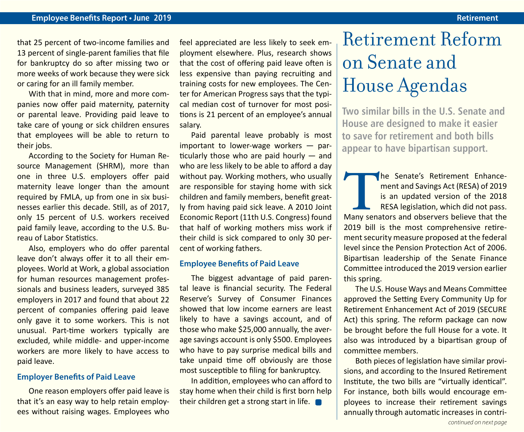### **Employee Benefits Report • June 2019 Retirement**

that 25 percent of two-income families and 13 percent of single-parent families that file for bankruptcy do so after missing two or more weeks of work because they were sick or caring for an ill family member.

With that in mind, more and more companies now offer paid maternity, paternity or parental leave. Providing paid leave to take care of young or sick children ensures that employees will be able to return to their jobs.

According to the Society for Human Resource Management (SHRM), more than one in three U.S. employers offer paid maternity leave longer than the amount required by FMLA, up from one in six businesses earlier this decade. Still, as of 2017, only 15 percent of U.S. workers received paid family leave, according to the U.S. Bureau of Labor Statistics.

Also, employers who do offer parental leave don't always offer it to all their employees. World at Work, a global association for human resources management professionals and business leaders, surveyed 385 employers in 2017 and found that about 22 percent of companies offering paid leave only gave it to some workers. This is not unusual. Part-time workers typically are excluded, while middle- and upper-income workers are more likely to have access to paid leave.

#### **Employer Benefits of Paid Leave**

One reason employers offer paid leave is that it's an easy way to help retain employees without raising wages. Employees who feel appreciated are less likely to seek employment elsewhere. Plus, research shows that the cost of offering paid leave often is less expensive than paying recruiting and training costs for new employees. The Center for American Progress says that the typical median cost of turnover for most positions is 21 percent of an employee's annual salary.

Paid parental leave probably is most important to lower-wage workers — particularly those who are paid hourly — and who are less likely to be able to afford a day without pay. Working mothers, who usually are responsible for staying home with sick children and family members, benefit greatly from having paid sick leave. A 2010 Joint Economic Report (11th U.S. Congress) found that half of working mothers miss work if their child is sick compared to only 30 percent of working fathers.

#### **Employee Benefits of Paid Leave**

The biggest advantage of paid parental leave is financial security. The Federal Reserve's Survey of Consumer Finances showed that low income earners are least likely to have a savings account, and of those who make \$25,000 annually, the average savings account is only \$500. Employees who have to pay surprise medical bills and take unpaid time off obviously are those most susceptible to filing for bankruptcy.

In addition, employees who can afford to stay home when their child is first born help their children get a strong start in life.

### Retirement Reform on Senate and House Agendas

**Two similar bills in the U.S. Senate and House are designed to make it easier to save for retirement and both bills appear to have bipartisan support.** 

**THE SENATE SERVIER SERVIER SERVIER SERVIER SERVIER SESA legislation, which did not pass.<br>Many senators and observers believe that the** ment and Savings Act (RESA) of 2019 is an updated version of the 2018 RESA legislation, which did not pass. 2019 bill is the most comprehensive retirement security measure proposed at the federal level since the Pension Protection Act of 2006. Bipartisan leadership of the Senate Finance Committee introduced the 2019 version earlier this spring.

The U.S. House Ways and Means Committee approved the Setting Every Community Up for Retirement Enhancement Act of 2019 (SECURE Act) this spring. The reform package can now be brought before the full House for a vote. It also was introduced by a bipartisan group of committee members.

Both pieces of legislation have similar provisions, and according to the Insured Retirement Institute, the two bills are "virtually identical". For instance, both bills would encourage employees to increase their retirement savings annually through automatic increases in contri-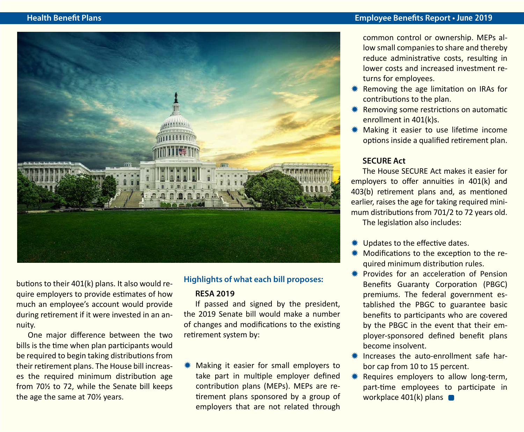

butions to their 401(k) plans. It also would require employers to provide estimates of how much an employee's account would provide during retirement if it were invested in an annuity.

One major difference between the two bills is the time when plan participants would be required to begin taking distributions from their retirement plans. The House bill increases the required minimum distribution age from 70½ to 72, while the Senate bill keeps the age the same at 70½ years.

### **Highlights of what each bill proposes:**

#### **RESA 2019**

If passed and signed by the president, the 2019 Senate bill would make a number of changes and modifications to the existing retirement system by:

 $*$  Making it easier for small employers to take part in multiple employer defined contribution plans (MEPs). MEPs are retirement plans sponsored by a group of employers that are not related through common control or ownership. MEPs allow small companies to share and thereby reduce administrative costs, resulting in lower costs and increased investment returns for employees.

- **\*\*** Removing the age limitation on IRAs for contributions to the plan.
- **\*** Removing some restrictions on automatic enrollment in 401(k)s.
- **\*** Making it easier to use lifetime income options inside a qualified retirement plan.

#### **SECURE Act**

The House SECURE Act makes it easier for employers to offer annuities in 401(k) and 403(b) retirement plans and, as mentioned earlier, raises the age for taking required minimum distributions from 701/2 to 72 years old. The legislation also includes:

- **\#** Updates to the effective dates.
- \* Modifications to the exception to the required minimum distribution rules.
- **\*\*** Provides for an acceleration of Pension Benefits Guaranty Corporation (PBGC) premiums. The federal government established the PBGC to guarantee basic benefits to participants who are covered by the PBGC in the event that their employer-sponsored defined benefit plans become insolvent.
- $*$  Increases the auto-enrollment safe harbor cap from 10 to 15 percent.
- Requires employers to allow long-term, part-time employees to participate in workplace  $401(k)$  plans